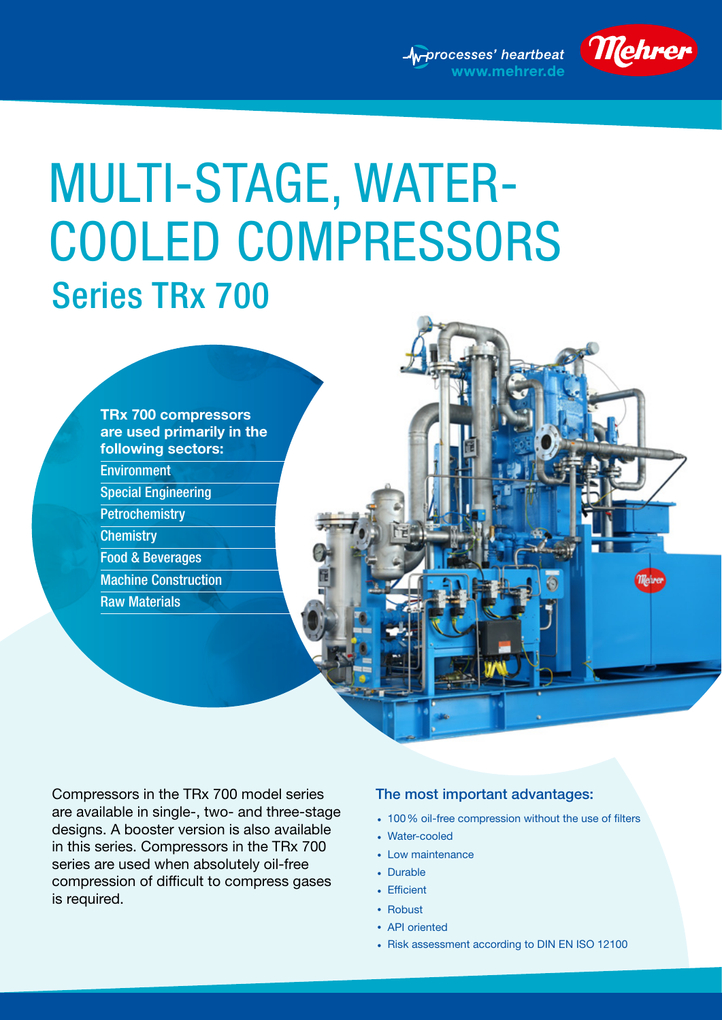



# Series TRx 700 MULTI-STAGE, WATER-COOLED COMPRESSORS



Compressors in the TRx 700 model series are available in single-, two- and three-stage designs. A booster version is also available in this series. Compressors in the TRx 700 series are used when absolutely oil-free compression of difficult to compress gases is required.

#### The most important advantages:

- 100 % oil-free compression without the use of filters
- Water-cooled
- Low maintenance
- Durable
- Efficient
- Robust
- API oriented
- Risk assessment according to DIN EN ISO 12100